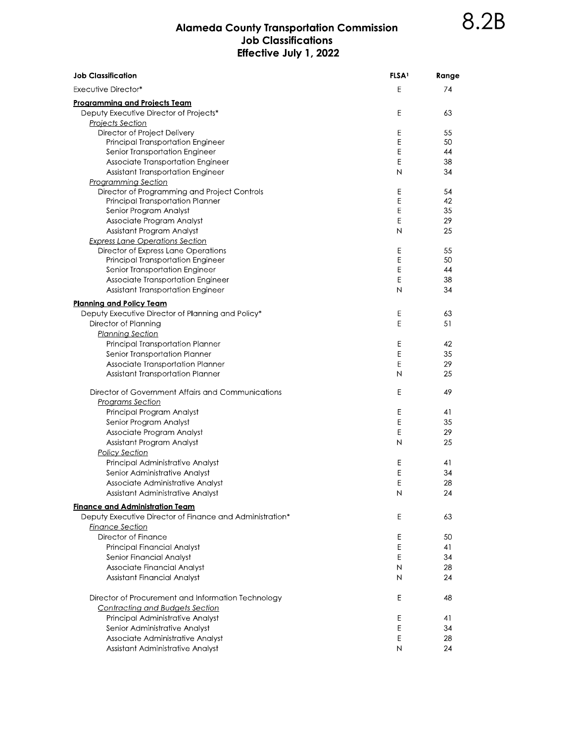## Alameda County Transportation Commission<br>Job Classifications Effective July 1, 2022

| <b>Job Classification</b>                                | <b>FLSA</b> <sup>1</sup> | Range |
|----------------------------------------------------------|--------------------------|-------|
| <b>Executive Director*</b>                               | E                        | 74    |
| <u>Programming and Projects Team</u>                     |                          |       |
| Deputy Executive Director of Projects*                   | E                        | 63    |
| <b>Projects Section</b>                                  |                          |       |
| Director of Project Delivery                             | E                        | 55    |
| Principal Transportation Engineer                        | E                        | 50    |
| Senior Transportation Engineer                           | E                        | 44    |
| Associate Transportation Engineer                        | E                        | 38    |
| Assistant Transportation Engineer                        | N                        | 34    |
| <b>Programming Section</b>                               |                          |       |
| Director of Programming and Project Controls             | Е                        | 54    |
| Principal Transportation Planner                         | Е                        | 42    |
| Senior Program Analyst                                   | E                        | 35    |
| Associate Program Analyst                                | E                        | 29    |
| Assistant Program Analyst                                | N                        | 25    |
| <b>Express Lane Operations Section</b>                   |                          |       |
| Director of Express Lane Operations                      | Е                        | 55    |
| Principal Transportation Engineer                        | E                        | 50    |
| Senior Transportation Engineer                           | E                        | 44    |
| Associate Transportation Engineer                        | E                        | 38    |
| Assistant Transportation Engineer                        | Ν                        | 34    |
|                                                          |                          |       |
| <b>Planning and Policy Team</b>                          |                          |       |
| Deputy Executive Director of Planning and Policy*        | E                        | 63    |
| Director of Planning                                     | E                        | 51    |
| <b>Planning Section</b>                                  |                          |       |
| Principal Transportation Planner                         | Е                        | 42    |
| Senior Transportation Planner                            | E                        | 35    |
| Associate Transportation Planner                         | E                        | 29    |
| Assistant Transportation Planner                         | N                        | 25    |
| Director of Government Affairs and Communications        | E                        | 49    |
| <b>Programs Section</b>                                  |                          |       |
| Principal Program Analyst                                | Е                        | 41    |
| Senior Program Analyst                                   | E                        | 35    |
| Associate Program Analyst                                | E                        | 29    |
| Assistant Program Analyst                                | N                        | 25    |
| <b>Policy Section</b>                                    |                          |       |
| Principal Administrative Analyst                         | Ε                        | 41    |
| Senior Administrative Analyst                            | E                        | 34    |
| Associate Administrative Analyst                         | E                        | 28    |
| Assistant Administrative Analyst                         | N                        | 24    |
| <u>Finance and Administration Team</u>                   |                          |       |
| Deputy Executive Director of Finance and Administration* | Е                        | 63    |
| <b>Finance Section</b>                                   |                          |       |
| Director of Finance                                      | Е                        | 50    |
| Principal Financial Analyst                              | Е                        | 41    |
| Senior Financial Analyst                                 | E                        | 34    |
| Associate Financial Analyst                              | Ν                        | 28    |
| Assistant Financial Analyst                              | N                        | 24    |
|                                                          |                          |       |
| Director of Procurement and Information Technology       | Е                        | 48    |
| <b>Contracting and Budgets Section</b>                   |                          |       |
| Principal Administrative Analyst                         | Е                        | 41    |
| Senior Administrative Analyst                            | E                        | 34    |
| Associate Administrative Analyst                         | Е                        | 28    |
| Assistant Administrative Analyst                         | N                        | 24    |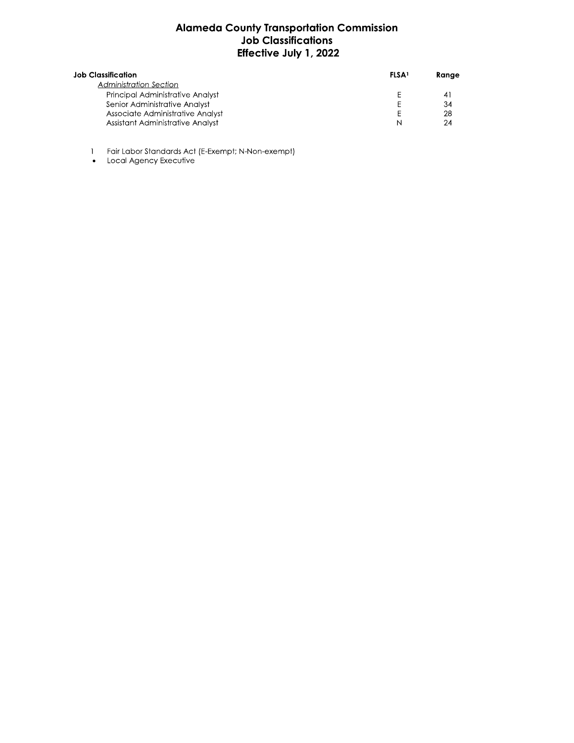## Alameda County Transportation Commission<br>Job Classifications Effective July 1, 2022

| <b>Job Classification</b>        | <b>FLSA</b> | Range   |
|----------------------------------|-------------|---------|
| <b>Administration Section</b>    |             |         |
| Principal Administrative Analyst |             | $\vert$ |
| Senior Administrative Analyst    |             | 34      |
| Associate Administrative Analyst |             | 28      |
| Assistant Administrative Analyst | N           | 24      |

- 1 Fair Labor Standards Act (E-Exempt; N-Non-exempt)<br>• Local Agency Executive
-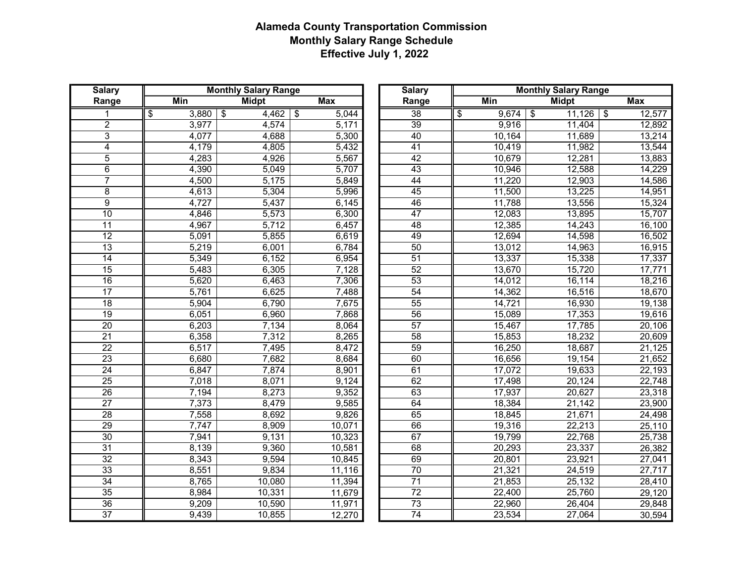| <b>Salary</b>                             |                                                    | <b>Monthly Salary Range</b>                           |                                                                    | <b>Salary</b>                                                           |                                                          | <b>Monthly Salary Range</b>                              |                                                                    |
|-------------------------------------------|----------------------------------------------------|-------------------------------------------------------|--------------------------------------------------------------------|-------------------------------------------------------------------------|----------------------------------------------------------|----------------------------------------------------------|--------------------------------------------------------------------|
| Range                                     | <b>Min</b>                                         | <b>Midpt</b>                                          | <b>Max</b>                                                         | Range                                                                   | <b>Min</b>                                               | <b>Midpt</b>                                             | <b>Max</b>                                                         |
| $\overline{\$}$                           | $3,880$ \$                                         | $4,462$ \$                                            | 5,044                                                              | $\overline{38}$                                                         | $\overline{\$}$<br>$9,674$ \$                            | $11,126$ \ \$                                            | 12,577                                                             |
| $\overline{c}$                            | 3,977                                              | 4,574                                                 | 5,171                                                              | 39                                                                      | 9,916                                                    | 11,404                                                   | 12,892                                                             |
| $\overline{3}$<br>$\overline{\mathbf{4}}$ | 4,077<br>4,179                                     | 4,688<br>4,805                                        | 5,300<br>5,432                                                     | 40<br>$\overline{41}$                                                   | 10,164<br>10,419                                         | 11,689<br>11,982                                         | 13,214<br>13,544                                                   |
| $\sqrt{5}$                                | 4,283                                              | 4,926                                                 | 5,567                                                              | $\overline{42}$                                                         | 10,679                                                   | 12,281                                                   | 13,883                                                             |
| $\overline{6}$                            | 4,390                                              | 5,049                                                 | 5,707                                                              | 43                                                                      | 10,946                                                   | 12,588                                                   | 14,229                                                             |
| $\overline{7}$                            | 4,500                                              | 5,175                                                 | 5,849                                                              | 44                                                                      | 11,220                                                   | 12,903                                                   | 14,586                                                             |
| $\,8\,$                                   | 4,613                                              | 5,304                                                 | 5,996                                                              | 45                                                                      | 11,500                                                   | 13,225                                                   | 14,951                                                             |
| $\overline{9}$                            | 4,727                                              | 5,437                                                 | 6,145                                                              | 46                                                                      | 11,788                                                   | 13,556                                                   | 15,324                                                             |
| 10<br>$\overline{11}$                     | 4,846<br>4,967                                     | 5,573<br>5,712                                        | 6,300<br>6,457                                                     | 47<br>$\overline{48}$                                                   | 12,083<br>12,385                                         | 13,895<br>14,243                                         | 15,707<br>16,100                                                   |
| $\overline{12}$                           | 5,091                                              | 5,855                                                 | 6,619                                                              | 49                                                                      | 12,694                                                   | 14,598                                                   | 16,502                                                             |
| $\overline{13}$                           | 5,219                                              | 6,001                                                 | 6,784                                                              | 50                                                                      | 13,012                                                   | 14,963                                                   | 16,915                                                             |
| $\overline{14}$                           | 5,349                                              | 6,152                                                 | 6,954                                                              | $\overline{51}$                                                         | 13,337                                                   | 15,338                                                   | 17,337                                                             |
| $\overline{15}$                           | 5,483                                              | 6,305                                                 | 7,128                                                              | $\overline{52}$                                                         | 13,670                                                   | 15,720                                                   | 17,771                                                             |
| 16                                        | 5,620                                              | 6,463                                                 | 7,306                                                              | $\overline{53}$                                                         | 14,012                                                   | 16,114                                                   | 18,216                                                             |
| 17                                        | 5,761                                              | 6,625                                                 | 7,488                                                              | 54                                                                      | 14,362                                                   | 16,516                                                   | 18,670                                                             |
| $\overline{18}$<br>$\overline{19}$        | 5,904<br>6,051                                     | 6,790<br>6,960                                        | 7,675<br>7,868                                                     | $\overline{55}$<br>$\overline{56}$                                      | 14,721<br>15,089                                         | 16,930<br>17,353                                         | 19,138<br>19,616                                                   |
| $\overline{20}$                           | 6,203                                              | 7,134                                                 | 8,064                                                              | 57                                                                      | 15,467                                                   | 17,785                                                   | 20,106                                                             |
| 21                                        | 6,358                                              | 7,312                                                 | 8,265                                                              | 58                                                                      | 15,853                                                   | 18,232                                                   | 20,609                                                             |
| $\overline{22}$                           | 6,517                                              | 7,495                                                 | 8,472                                                              | $\overline{59}$                                                         | 16,250                                                   | 18,687                                                   | 21,125                                                             |
| $\overline{23}$                           | 6,680                                              | 7,682                                                 | 8,684                                                              | 60                                                                      | 16,656                                                   | 19,154                                                   | 21,652                                                             |
| $\overline{24}$                           | 6,847                                              | 7,874                                                 | 8,901                                                              | 61                                                                      | 17,072                                                   | 19,633                                                   | 22,193                                                             |
| $\overline{25}$<br>$\overline{26}$        | 7,018                                              | 8,071                                                 | 9,124                                                              | 62<br>63                                                                | 17,498                                                   | 20,124                                                   | 22,748                                                             |
| 27                                        | 7,194<br>7,373                                     | 8,273<br>8,479                                        | 9,352<br>9,585                                                     | 64                                                                      | 17,937<br>18,384                                         | 20,627<br>21,142                                         | 23,318<br>23,900                                                   |
| $\overline{28}$                           | 7,558                                              | 8,692                                                 | 9,826                                                              | 65                                                                      | 18,845                                                   | 21,671                                                   | 24,498                                                             |
| 29                                        | 7,747                                              | 8,909                                                 | 10,071                                                             | 66                                                                      | 19,316                                                   | 22,213                                                   | 25,110                                                             |
| 30                                        | 7,941                                              | 9,131                                                 | 10,323                                                             | 67                                                                      | 19,799                                                   | 22,768                                                   | 25,738                                                             |
| 31                                        |                                                    |                                                       |                                                                    |                                                                         |                                                          |                                                          |                                                                    |
| 32                                        |                                                    |                                                       |                                                                    |                                                                         |                                                          |                                                          |                                                                    |
| 33<br>34                                  |                                                    |                                                       |                                                                    |                                                                         |                                                          |                                                          |                                                                    |
| $\overline{35}$                           |                                                    |                                                       |                                                                    |                                                                         |                                                          |                                                          |                                                                    |
| 36                                        |                                                    |                                                       |                                                                    |                                                                         |                                                          |                                                          |                                                                    |
| $\overline{37}$                           | 9,439                                              | 10,855                                                |                                                                    | $\overline{74}$                                                         | 23,534                                                   | 27,064                                                   |                                                                    |
|                                           | 8,139<br>8,343<br>8,551<br>8,765<br>8,984<br>9,209 | 9,360<br>9,594<br>9,834<br>10,080<br>10,331<br>10,590 | 10,581<br>10,845<br>11,116<br>11,394<br>11,679<br>11,971<br>12,270 | 68<br>69<br>70<br>$\overline{71}$<br>$\overline{72}$<br>$\overline{73}$ | 20,293<br>20,801<br>21,321<br>21,853<br>22,400<br>22,960 | 23,337<br>23,921<br>24,519<br>25,132<br>25,760<br>26,404 | 26,382<br>27,041<br>27,717<br>28,410<br>29,120<br>29,848<br>30,594 |